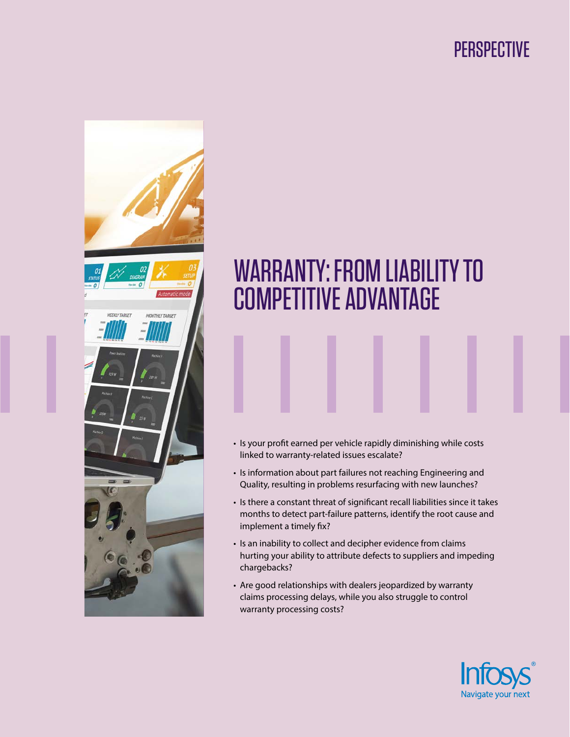## **PERSPECTIVE**



# WARRANTY: FROM LIABILITY TO COMPETITIVE ADVANTAGE

- Is your profit earned per vehicle rapidly diminishing while costs linked to warranty-related issues escalate?
- Is information about part failures not reaching Engineering and Quality, resulting in problems resurfacing with new launches?
- Is there a constant threat of significant recall liabilities since it takes months to detect part-failure patterns, identify the root cause and implement a timely fix?
- Is an inability to collect and decipher evidence from claims hurting your ability to attribute defects to suppliers and impeding chargebacks?
- Are good relationships with dealers jeopardized by warranty claims processing delays, while you also struggle to control warranty processing costs?

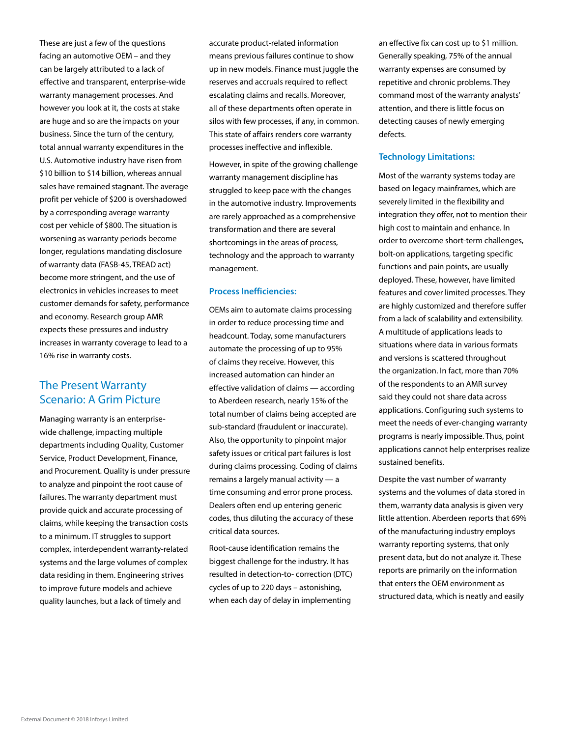These are just a few of the questions facing an automotive OEM – and they can be largely attributed to a lack of effective and transparent, enterprise-wide warranty management processes. And however you look at it, the costs at stake are huge and so are the impacts on your business. Since the turn of the century, total annual warranty expenditures in the U.S. Automotive industry have risen from \$10 billion to \$14 billion, whereas annual sales have remained stagnant. The average profit per vehicle of \$200 is overshadowed by a corresponding average warranty cost per vehicle of \$800. The situation is worsening as warranty periods become longer, regulations mandating disclosure of warranty data (FASB-45, TREAD act) become more stringent, and the use of electronics in vehicles increases to meet customer demands for safety, performance and economy. Research group AMR expects these pressures and industry increases in warranty coverage to lead to a 16% rise in warranty costs.

## The Present Warranty Scenario: A Grim Picture

Managing warranty is an enterprisewide challenge, impacting multiple departments including Quality, Customer Service, Product Development, Finance, and Procurement. Quality is under pressure to analyze and pinpoint the root cause of failures. The warranty department must provide quick and accurate processing of claims, while keeping the transaction costs to a minimum. IT struggles to support complex, interdependent warranty-related systems and the large volumes of complex data residing in them. Engineering strives to improve future models and achieve quality launches, but a lack of timely and

accurate product-related information means previous failures continue to show up in new models. Finance must juggle the reserves and accruals required to reflect escalating claims and recalls. Moreover, all of these departments often operate in silos with few processes, if any, in common. This state of affairs renders core warranty processes ineffective and inflexible.

However, in spite of the growing challenge warranty management discipline has struggled to keep pace with the changes in the automotive industry. Improvements are rarely approached as a comprehensive transformation and there are several shortcomings in the areas of process, technology and the approach to warranty management.

#### **Process Inefficiencies:**

OEMs aim to automate claims processing in order to reduce processing time and headcount. Today, some manufacturers automate the processing of up to 95% of claims they receive. However, this increased automation can hinder an effective validation of claims — according to Aberdeen research, nearly 15% of the total number of claims being accepted are sub-standard (fraudulent or inaccurate). Also, the opportunity to pinpoint major safety issues or critical part failures is lost during claims processing. Coding of claims remains a largely manual activity — a time consuming and error prone process. Dealers often end up entering generic codes, thus diluting the accuracy of these critical data sources.

Root-cause identification remains the biggest challenge for the industry. It has resulted in detection-to- correction (DTC) cycles of up to 220 days – astonishing, when each day of delay in implementing

an effective fix can cost up to \$1 million. Generally speaking, 75% of the annual warranty expenses are consumed by repetitive and chronic problems. They command most of the warranty analysts' attention, and there is little focus on detecting causes of newly emerging defects.

#### **Technology Limitations:**

Most of the warranty systems today are based on legacy mainframes, which are severely limited in the flexibility and integration they offer, not to mention their high cost to maintain and enhance. In order to overcome short-term challenges, bolt-on applications, targeting specific functions and pain points, are usually deployed. These, however, have limited features and cover limited processes. They are highly customized and therefore suffer from a lack of scalability and extensibility. A multitude of applications leads to situations where data in various formats and versions is scattered throughout the organization. In fact, more than 70% of the respondents to an AMR survey said they could not share data across applications. Configuring such systems to meet the needs of ever-changing warranty programs is nearly impossible. Thus, point applications cannot help enterprises realize sustained benefits.

Despite the vast number of warranty systems and the volumes of data stored in them, warranty data analysis is given very little attention. Aberdeen reports that 69% of the manufacturing industry employs warranty reporting systems, that only present data, but do not analyze it. These reports are primarily on the information that enters the OEM environment as structured data, which is neatly and easily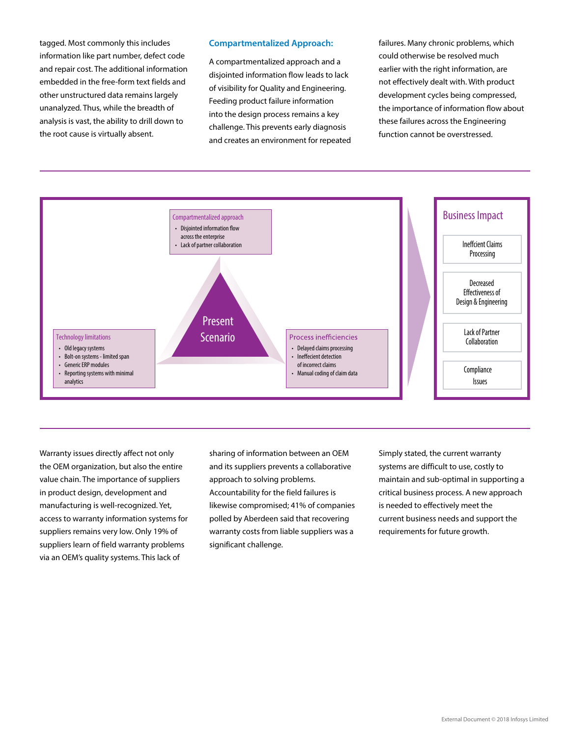tagged. Most commonly this includes information like part number, defect code and repair cost. The additional information embedded in the free-form text fields and other unstructured data remains largely unanalyzed. Thus, while the breadth of analysis is vast, the ability to drill down to the root cause is virtually absent.

#### **Compartmentalized Approach:**

A compartmentalized approach and a disjointed information flow leads to lack of visibility for Quality and Engineering. Feeding product failure information into the design process remains a key challenge. This prevents early diagnosis and creates an environment for repeated failures. Many chronic problems, which could otherwise be resolved much earlier with the right information, are not effectively dealt with. With product development cycles being compressed, the importance of information flow about these failures across the Engineering function cannot be overstressed.



Warranty issues directly affect not only the OEM organization, but also the entire value chain. The importance of suppliers in product design, development and manufacturing is well-recognized. Yet, access to warranty information systems for suppliers remains very low. Only 19% of suppliers learn of field warranty problems via an OEM's quality systems. This lack of

sharing of information between an OEM and its suppliers prevents a collaborative approach to solving problems. Accountability for the field failures is likewise compromised; 41% of companies polled by Aberdeen said that recovering warranty costs from liable suppliers was a significant challenge.

Simply stated, the current warranty systems are difficult to use, costly to maintain and sub-optimal in supporting a critical business process. A new approach is needed to effectively meet the current business needs and support the requirements for future growth.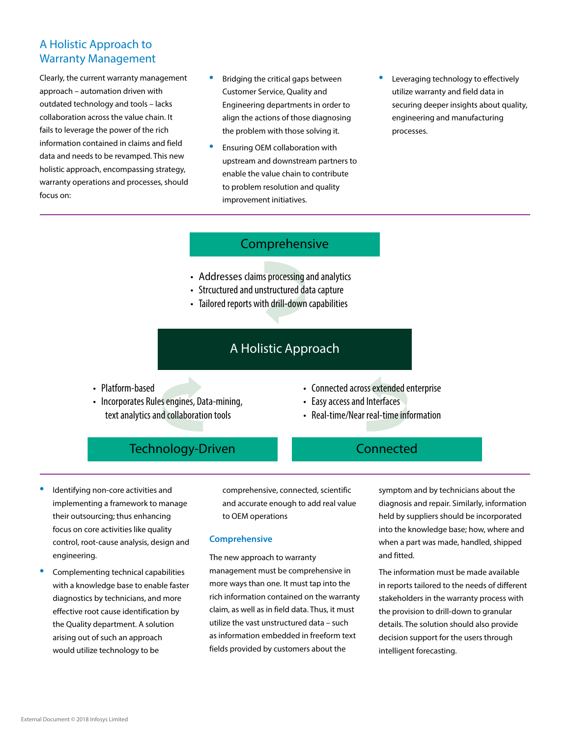## A Holistic Approach to Warranty Management

Clearly, the current warranty management approach – automation driven with outdated technology and tools – lacks collaboration across the value chain. It fails to leverage the power of the rich information contained in claims and field data and needs to be revamped. This new holistic approach, encompassing strategy, warranty operations and processes, should focus on:

- Bridging the critical gaps between Customer Service, Quality and Engineering departments in order to align the actions of those diagnosing the problem with those solving it.
- Ensuring OEM collaboration with upstream and downstream partners to enable the value chain to contribute to problem resolution and quality improvement initiatives.
- Leveraging technology to effectively utilize warranty and field data in securing deeper insights about quality, engineering and manufacturing processes.

## Comprehensive

- Addresses claims processing and analytics
- Strcuctured and unstructured data capture
- Tailored reports with drill-down capabilities

## A Holistic Approach

- Platform-based
- Incorporates Rules engines, Data-mining, text analytics and collaboration tools
- Connected across extended enterprise
- Easy access and Interfaces
- Real-time/Near real-time information

Connected

## Technology-Driven

- Identifying non-core activities and implementing a framework to manage their outsourcing; thus enhancing focus on core activities like quality control, root-cause analysis, design and engineering.
- Complementing technical capabilities with a knowledge base to enable faster diagnostics by technicians, and more effective root cause identification by the Quality department. A solution arising out of such an approach would utilize technology to be

comprehensive, connected, scientific and accurate enough to add real value to OEM operations

#### **Comprehensive**

The new approach to warranty management must be comprehensive in more ways than one. It must tap into the rich information contained on the warranty claim, as well as in field data. Thus, it must utilize the vast unstructured data – such as information embedded in freeform text fields provided by customers about the

symptom and by technicians about the diagnosis and repair. Similarly, information held by suppliers should be incorporated into the knowledge base; how, where and when a part was made, handled, shipped and fitted.

The information must be made available in reports tailored to the needs of different stakeholders in the warranty process with the provision to drill-down to granular details. The solution should also provide decision support for the users through intelligent forecasting.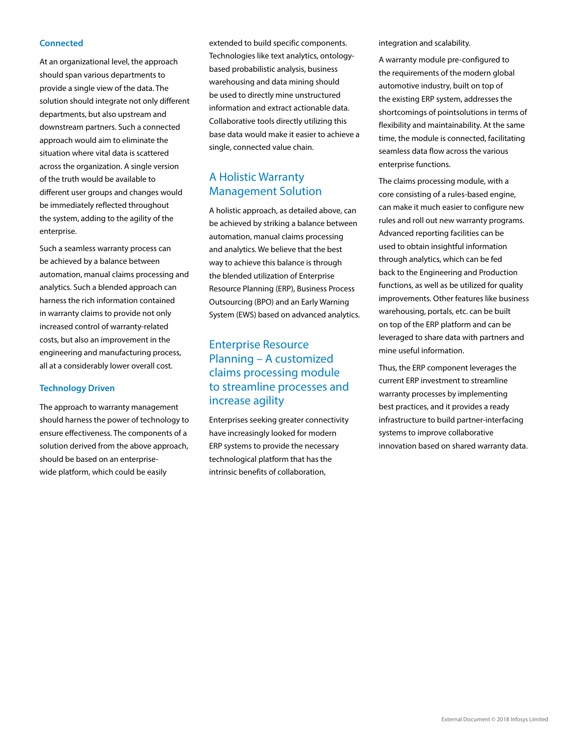#### **Connected**

At an organizational level, the approach should span various departments to provide a single view of the data. The solution should integrate not only different departments, but also upstream and downstream partners. Such a connected approach would aim to eliminate the situation where vital data is scattered across the organization. A single version of the truth would be available to different user groups and changes would be immediately reflected throughout the system, adding to the agility of the enterprise.

Such a seamless warranty process can be achieved by a balance between automation, manual claims processing and analytics. Such a blended approach can harness the rich information contained in warranty claims to provide not only increased control of warranty-related costs, but also an improvement in the engineering and manufacturing process, all at a considerably lower overall cost.

#### **Technology Driven**

The approach to warranty management should harness the power of technology to ensure effectiveness. The components of a solution derived from the above approach, should be based on an enterprisewide platform, which could be easily

extended to build specific components. Technologies like text analytics, ontologybased probabilistic analysis, business warehousing and data mining should be used to directly mine unstructured information and extract actionable data. Collaborative tools directly utilizing this base data would make it easier to achieve a single, connected value chain.

## A Holistic Warranty Management Solution

A holistic approach, as detailed above, can be achieved by striking a balance between automation, manual claims processing and analytics. We believe that the best way to achieve this balance is through the blended utilization of Enterprise Resource Planning (ERP), Business Process Outsourcing (BPO) and an Early Warning System (EWS) based on advanced analytics.

## Enterprise Resource Planning – A customized claims processing module to streamline processes and increase agility

Enterprises seeking greater connectivity have increasingly looked for modern ERP systems to provide the necessary technological platform that has the intrinsic benefits of collaboration,

integration and scalability.

A warranty module pre-configured to the requirements of the modern global automotive industry, built on top of the existing ERP system, addresses the shortcomings of pointsolutions in terms of flexibility and maintainability. At the same time, the module is connected, facilitating seamless data flow across the various enterprise functions.

The claims processing module, with a core consisting of a rules-based engine, can make it much easier to configure new rules and roll out new warranty programs. Advanced reporting facilities can be used to obtain insightful information through analytics, which can be fed back to the Engineering and Production functions, as well as be utilized for quality improvements. Other features like business warehousing, portals, etc. can be built on top of the ERP platform and can be leveraged to share data with partners and mine useful information.

Thus, the ERP component leverages the current ERP investment to streamline warranty processes by implementing best practices, and it provides a ready infrastructure to build partner-interfacing systems to improve collaborative innovation based on shared warranty data.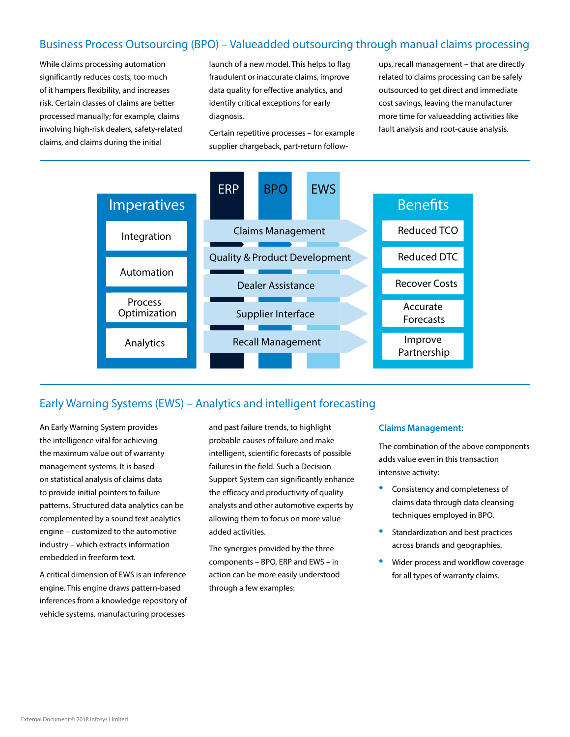## Business Process Outsourcing (BPO) – Valueadded outsourcing through manual claims processing

While claims processing automation significantly reduces costs, too much of it hampers flexibility, and increases risk. Certain classes of claims are better processed manually; for example, claims involving high-risk dealers, safety-related claims, and claims during the initial

launch of a new model. This helps to flag fraudulent or inaccurate claims, improve data quality for effective analytics, and identify critical exceptions for early diagnosis.

Certain repetitive processes – for example supplier chargeback, part-return follow-

ups, recall management – that are directly related to claims processing can be safely outsourced to get direct and immediate cost savings, leaving the manufacturer more time for valueadding activities like fault analysis and root-cause analysis.



## Early Warning Systems (EWS) – Analytics and intelligent forecasting

An Early Warning System provides the intelligence vital for achieving the maximum value out of warranty management systems. It is based on statistical analysis of claims data to provide initial pointers to failure patterns. Structured data analytics can be complemented by a sound text analytics engine – customized to the automotive industry – which extracts information embedded in freeform text.

A critical dimension of EWS is an inference engine. This engine draws pattern-based inferences from a knowledge repository of vehicle systems, manufacturing processes

and past failure trends, to highlight probable causes of failure and make intelligent, scientific forecasts of possible failures in the field. Such a Decision Support System can significantly enhance the efficacy and productivity of quality analysts and other automotive experts by allowing them to focus on more valueadded activities.

The synergies provided by the three components – BPO, ERP and EWS – in action can be more easily understood through a few examples:

#### **Claims Management:**

The combination of the above components adds value even in this transaction intensive activity:

- Consistency and completeness of claims data through data cleansing techniques employed in BPO.
- Standardization and best practices across brands and geographies.
- Wider process and workflow coverage for all types of warranty claims.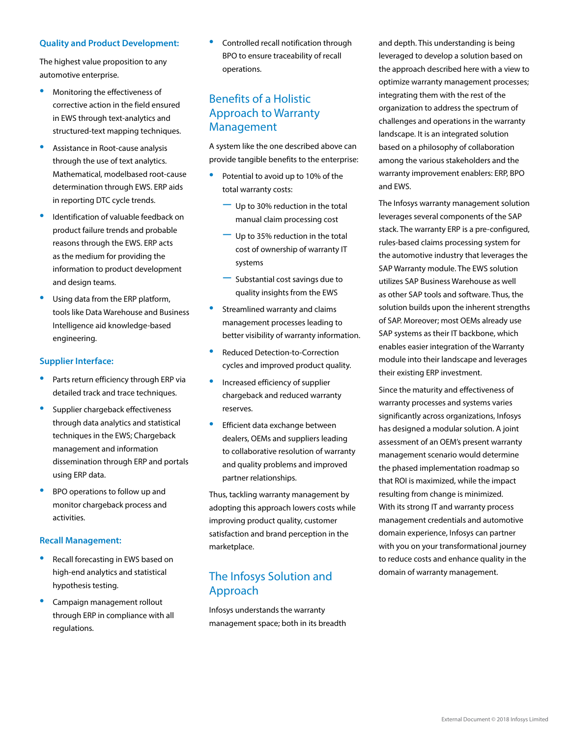#### **Quality and Product Development:**

The highest value proposition to any automotive enterprise.

- Monitoring the effectiveness of corrective action in the field ensured in EWS through text-analytics and structured-text mapping techniques.
- Assistance in Root-cause analysis through the use of text analytics. Mathematical, modelbased root-cause determination through EWS. ERP aids in reporting DTC cycle trends.
- Identification of valuable feedback on product failure trends and probable reasons through the EWS. ERP acts as the medium for providing the information to product development and design teams.
- Using data from the ERP platform, tools like Data Warehouse and Business Intelligence aid knowledge-based engineering.

#### **Supplier Interface:**

- Parts return efficiency through ERP via detailed track and trace techniques.
- Supplier chargeback effectiveness through data analytics and statistical techniques in the EWS; Chargeback management and information dissemination through ERP and portals using ERP data.
- BPO operations to follow up and monitor chargeback process and activities.

#### **Recall Management:**

- Recall forecasting in EWS based on high-end analytics and statistical hypothesis testing.
- Campaign management rollout through ERP in compliance with all regulations.

• Controlled recall notification through BPO to ensure traceability of recall operations.

## Benefits of a Holistic Approach to Warranty Management

A system like the one described above can provide tangible benefits to the enterprise:

- Potential to avoid up to 10% of the total warranty costs:
	- − Up to 30% reduction in the total manual claim processing cost
	- − Up to 35% reduction in the total cost of ownership of warranty IT systems
	- − Substantial cost savings due to quality insights from the EWS
- Streamlined warranty and claims management processes leading to better visibility of warranty information.
- Reduced Detection-to-Correction cycles and improved product quality.
- Increased efficiency of supplier chargeback and reduced warranty reserves.
- Efficient data exchange between dealers, OEMs and suppliers leading to collaborative resolution of warranty and quality problems and improved partner relationships.

Thus, tackling warranty management by adopting this approach lowers costs while improving product quality, customer satisfaction and brand perception in the marketplace.

## The Infosys Solution and Approach

Infosys understands the warranty management space; both in its breadth and depth. This understanding is being leveraged to develop a solution based on the approach described here with a view to optimize warranty management processes; integrating them with the rest of the organization to address the spectrum of challenges and operations in the warranty landscape. It is an integrated solution based on a philosophy of collaboration among the various stakeholders and the warranty improvement enablers: ERP, BPO and EWS.

The Infosys warranty management solution leverages several components of the SAP stack. The warranty ERP is a pre-configured, rules-based claims processing system for the automotive industry that leverages the SAP Warranty module. The EWS solution utilizes SAP Business Warehouse as well as other SAP tools and software. Thus, the solution builds upon the inherent strengths of SAP. Moreover; most OEMs already use SAP systems as their IT backbone, which enables easier integration of the Warranty module into their landscape and leverages their existing ERP investment.

Since the maturity and effectiveness of warranty processes and systems varies significantly across organizations, Infosys has designed a modular solution. A joint assessment of an OEM's present warranty management scenario would determine the phased implementation roadmap so that ROI is maximized, while the impact resulting from change is minimized. With its strong IT and warranty process management credentials and automotive domain experience, Infosys can partner with you on your transformational journey to reduce costs and enhance quality in the domain of warranty management.